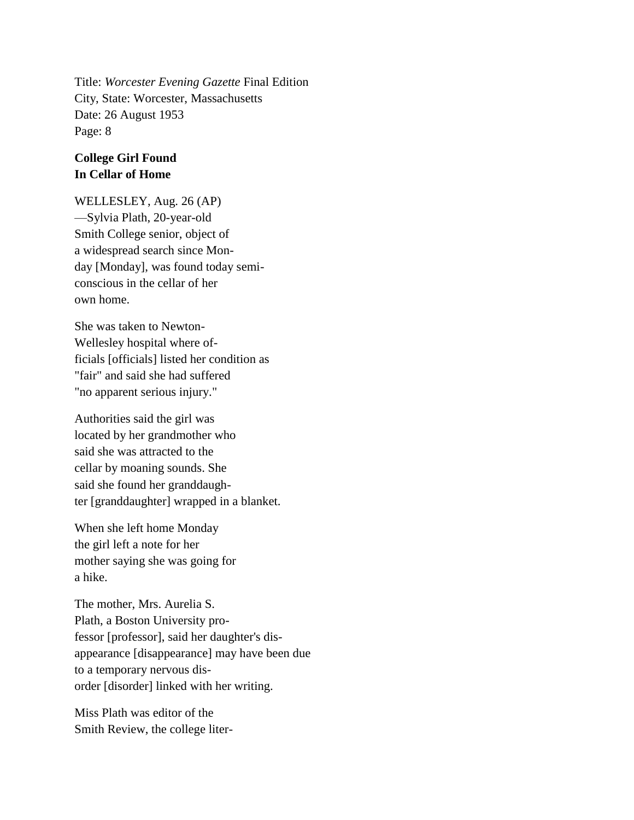Title: *Worcester Evening Gazette* Final Edition City, State: Worcester, Massachusetts Date: 26 August 1953 Page: 8

## **College Girl Found In Cellar of Home**

WELLESLEY, Aug. 26 (AP) —Sylvia Plath, 20-year-old Smith College senior, object of a widespread search since Monday [Monday], was found today semiconscious in the cellar of her own home.

She was taken to Newton-Wellesley hospital where officials [officials] listed her condition as "fair" and said she had suffered "no apparent serious injury."

Authorities said the girl was located by her grandmother who said she was attracted to the cellar by moaning sounds. She said she found her granddaughter [granddaughter] wrapped in a blanket.

When she left home Monday the girl left a note for her mother saying she was going for a hike.

The mother, Mrs. Aurelia S. Plath, a Boston University professor [professor], said her daughter's disappearance [disappearance] may have been due to a temporary nervous disorder [disorder] linked with her writing.

Miss Plath was editor of the Smith Review, the college liter